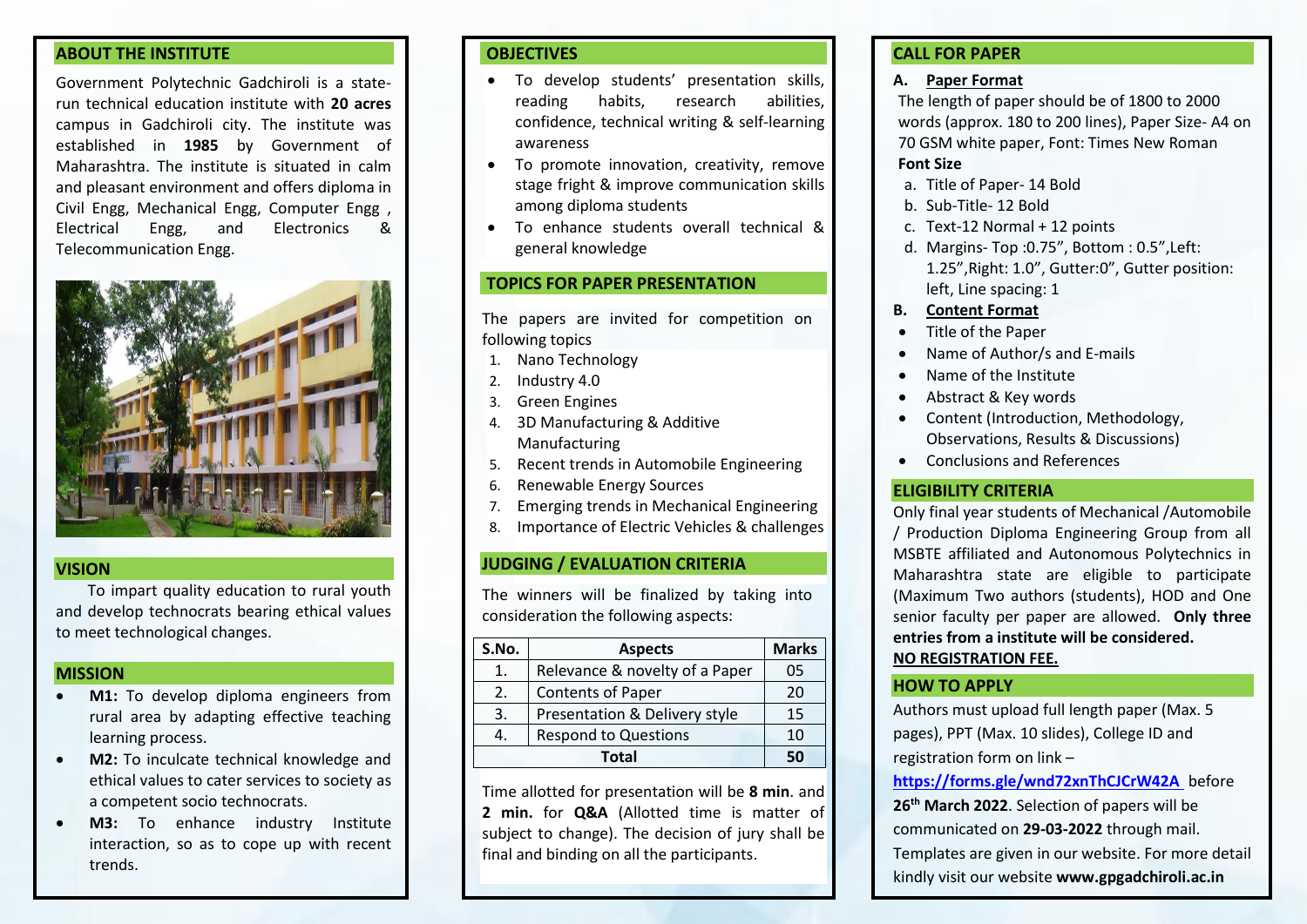#### **ABOUT THE INSTITUTE**

Government Polytechnic Gadchiroli is a staterun technical education institute with **20 acres**  campus in Gadchiroli city. The institute was established in **1985** by Government of Maharashtra. The institute is situated in calm and pleasant environment and offers diploma in Civil Engg, Mechanical Engg, Computer Engg , Electrical Engg, and Electronics & Telecommunication Engg.



### **VISION**

To impart quality education to rural youth and develop technocrats bearing ethical values to meet technological changes.

### **MISSION**

- **M1:** To develop diploma engineers from rural area by adapting effective teaching learning process.
- **M2:** To inculcate technical knowledge and ethical values to cater services to society as a competent socio technocrats.
- **M3:** To enhance industry Institute interaction, so as to cope up with recent trends.

## **OBJECTIVES**

- To develop students' presentation skills, reading habits, research abilities, confidence, technical writing & self-learning awareness
- To promote innovation, creativity, remove stage fright & improve communication skills among diploma students
- To enhance students overall technical & general knowledge

## **TOPICS FOR PAPER PRESENTATION**

The papers are invited for competition on following topics

- 1. Nano Technology
- 2. Industry 4.0
- 3. Green Engines
- 4. 3D Manufacturing & Additive Manufacturing
- 5. Recent trends in Automobile Engineering
- 6. Renewable Energy Sources
- 7. Emerging trends in Mechanical Engineering
- 8. Importance of Electric Vehicles & challenges

# **JUDGING / EVALUATION CRITERIA**

The winners will be finalized by taking into consideration the following aspects:

| S.No. | <b>Aspects</b>                 | <b>Marks</b> |
|-------|--------------------------------|--------------|
| 1.    | Relevance & novelty of a Paper | 05           |
| 2.    | <b>Contents of Paper</b>       | 20           |
| 3.    | Presentation & Delivery style  | 15           |
|       | <b>Respond to Questions</b>    | 10           |
|       | 50                             |              |

Time allotted for presentation will be **8 min**. and **2 min.** for **Q&A** (Allotted time is matter of subject to change). The decision of jury shall be final and binding on all the participants.

# **CALL FOR PAPER**

#### **A. Paper Format**

The length of paper should be of 1800 to 2000 words (approx. 180 to 200 lines), Paper Size- A4 on 70 GSM white paper, Font: Times New Roman **Font Size**

- a. Title of Paper- 14 Bold
- b. Sub-Title- 12 Bold
- c. Text-12 Normal + 12 points
- d. Margins- Top :0.75", Bottom : 0.5",Left: 1.25",Right: 1.0", Gutter:0", Gutter position: left, Line spacing: 1
- **B. Content Format**
- Title of the Paper
- Name of Author/s and E-mails
- Name of the Institute
- Abstract & Key words
- Content (Introduction, Methodology, Observations, Results & Discussions)
- Conclusions and References

# **ELIGIBILITY CRITERIA**

Only final year students of Mechanical /Automobile / Production Diploma Engineering Group from all MSBTE affiliated and Autonomous Polytechnics in Maharashtra state are eligible to participate (Maximum Two authors (students), HOD and One senior faculty per paper are allowed. **Only three entries from a institute will be considered. NO REGISTRATION FEE.**

## **HOW TO APPLY**

Authors must upload full length paper (Max. 5 pages), PPT (Max. 10 slides), College ID and registration form on link –

**<https://forms.gle/wnd72xnThCJCrW42A>** before

**26th March 2022**. Selection of papers will be communicated on **29-03-2022** through mail.

Templates are given in our website. For more detail

kindly visit our website **www.gpgadchiroli.ac.in**